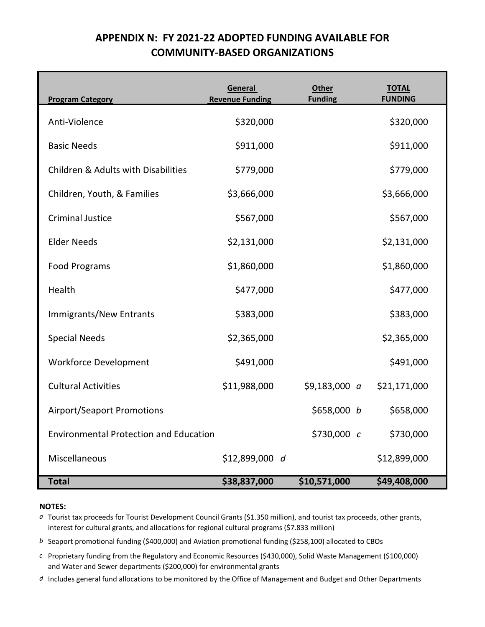# **APPENDIX N: FY 2021-22 ADOPTED FUNDING AVAILABLE FOR COMMUNITY-BASED ORGANIZATIONS**

| <b>Program Category</b>                        | General<br><b>Revenue Funding</b> | <b>Other</b><br><b>Funding</b> | <b>TOTAL</b><br><b>FUNDING</b> |
|------------------------------------------------|-----------------------------------|--------------------------------|--------------------------------|
| Anti-Violence                                  | \$320,000                         |                                | \$320,000                      |
| <b>Basic Needs</b>                             | \$911,000                         |                                | \$911,000                      |
| <b>Children &amp; Adults with Disabilities</b> | \$779,000                         |                                | \$779,000                      |
| Children, Youth, & Families                    | \$3,666,000                       |                                | \$3,666,000                    |
| <b>Criminal Justice</b>                        | \$567,000                         |                                | \$567,000                      |
| <b>Elder Needs</b>                             | \$2,131,000                       |                                | \$2,131,000                    |
| <b>Food Programs</b>                           | \$1,860,000                       |                                | \$1,860,000                    |
| Health                                         | \$477,000                         |                                | \$477,000                      |
| Immigrants/New Entrants                        | \$383,000                         |                                | \$383,000                      |
| <b>Special Needs</b>                           | \$2,365,000                       |                                | \$2,365,000                    |
| <b>Workforce Development</b>                   | \$491,000                         |                                | \$491,000                      |
| <b>Cultural Activities</b>                     | \$11,988,000                      | $$9,183,000$ a                 | \$21,171,000                   |
| <b>Airport/Seaport Promotions</b>              |                                   | \$658,000 b                    | \$658,000                      |
| <b>Environmental Protection and Education</b>  |                                   | \$730,000 c                    | \$730,000                      |
| Miscellaneous                                  | \$12,899,000 d                    |                                | \$12,899,000                   |
| <b>Total</b>                                   | \$38,837,000                      | \$10,571,000                   | \$49,408,000                   |

## **NOTES:**

*a* Tourist tax proceeds for Tourist Development Council Grants (\$1.350 million), and tourist tax proceeds, other grants, interest for cultural grants, and allocations for regional cultural programs (\$7.833 million)

- *b* Seaport promotional funding (\$400,000) and Aviation promotional funding (\$258,100) allocated to CBOs
- *c* Proprietary funding from the Regulatory and Economic Resources (\$430,000), Solid Waste Management (\$100,000) and Water and Sewer departments (\$200,000) for environmental grants
- *d* Includes general fund allocations to be monitored by the Office of Management and Budget and Other Departments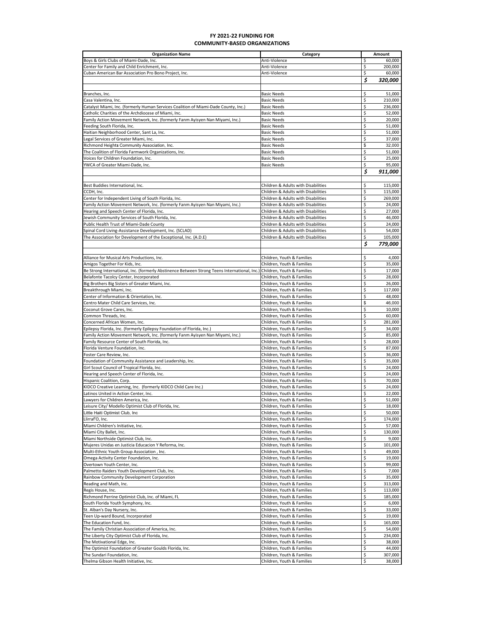#### **FY 2021‐22 FUNDING FOR COMMUNITY‐BASED ORGANIZATIONS**

| <b>Organization Name</b>                                                                                                | Category                            |    | Amount  |
|-------------------------------------------------------------------------------------------------------------------------|-------------------------------------|----|---------|
| Boys & Girls Clubs of Miami-Dade, Inc.                                                                                  | Anti-Violence                       | \$ | 60,000  |
| Center for Family and Child Enrichment, Inc.                                                                            | Anti-Violence                       | \$ | 200,000 |
| Cuban American Bar Association Pro Bono Project, Inc.                                                                   | Anti-Violence                       | \$ | 60,000  |
|                                                                                                                         |                                     | \$ | 320,000 |
|                                                                                                                         |                                     |    |         |
| Branches, Inc.                                                                                                          | <b>Basic Needs</b>                  | \$ | 51,000  |
|                                                                                                                         |                                     |    |         |
| Casa Valentina, Inc.                                                                                                    | <b>Basic Needs</b>                  | \$ | 210,000 |
| Catalyst Miami, Inc. (formerly Human Services Coalition of Miami-Dade County, Inc.)                                     | <b>Basic Needs</b>                  | \$ | 236,000 |
| Catholic Charities of the Archdiocese of Miami, Inc.                                                                    | <b>Basic Needs</b>                  | \$ | 52,000  |
| Family Action Movement Network, Inc. (formerly Fanm Ayisyen Nan Miyami, Inc.)                                           | <b>Basic Needs</b>                  | \$ | 20,000  |
| Feeding South Florida, Inc.                                                                                             | <b>Basic Needs</b>                  | \$ | 51,000  |
| Haitian Neighborhood Center, Sant La, Inc.                                                                              | <b>Basic Needs</b>                  | \$ | 51,000  |
| Legal Services of Greater Miami, Inc.                                                                                   | <b>Basic Needs</b>                  | \$ | 37,000  |
| Richmond Height <b>s</b> Community Association, Inc.                                                                    | <b>Basic Needs</b>                  | \$ | 32,000  |
| The Coalition of Florida Farmwork Organizations, Inc.                                                                   | <b>Basic Needs</b>                  | \$ | 51,000  |
| Voices for Children Foundation, Inc.                                                                                    | <b>Basic Needs</b>                  | \$ | 25,000  |
| YWCA of Greater Miami-Dade, Inc.                                                                                        | <b>Basic Needs</b>                  | Ś. | 95,000  |
|                                                                                                                         |                                     | \$ | 911,000 |
|                                                                                                                         |                                     |    |         |
|                                                                                                                         |                                     |    |         |
| Best Buddies International, Inc.                                                                                        | Children & Adults with Disabilities | \$ | 115,000 |
| CCDH, Inc.                                                                                                              | Children & Adults with Disabilities | \$ | 115,000 |
| Center for Independent Living of South Florida, Inc.                                                                    | Children & Adults with Disabilities | \$ | 269,000 |
| Family Action Movement Network, Inc. (formerly Fanm Ayisyen Nan Miyami, Inc.)                                           | Children & Adults with Disabilities | \$ | 24,000  |
| Hearing and Speech Center of Florida, Inc.                                                                              | Children & Adults with Disabilities | \$ | 27,000  |
| Jewish Community Services of South Florida, Inc.                                                                        | Children & Adults with Disabilities | \$ | 46.000  |
| Public Health Trust of Miami-Dade County                                                                                | Children & Adults with Disabilities | \$ | 24,000  |
| Spinal Cord Living-Assistance Development, Inc. (SCLAD)                                                                 | Children & Adults with Disabilities | \$ | 54,000  |
|                                                                                                                         |                                     |    |         |
| The Association for Development of the Exceptional, Inc. (A.D.E)                                                        | Children & Adults with Disabilities | \$ | 105,000 |
|                                                                                                                         |                                     | \$ | 779,000 |
|                                                                                                                         |                                     |    |         |
| Alliance for Musical Arts Productions, Inc.                                                                             | Children, Youth & Families          | \$ | 4,000   |
| Amigos Together For Kids, Inc.                                                                                          | Children, Youth & Families          | \$ | 35,000  |
| Be Strong International, Inc. (formerly Abstinence Between Strong Teens International, Inc.) Children, Youth & Families |                                     | \$ | 17,000  |
| Belafonte Tacolcy Center, Incorporated                                                                                  | Children. Youth & Families          | \$ | 28,000  |
| Big Brothers Big Sisters of Greater Miami, Inc.                                                                         | Children, Youth & Families          | \$ | 26,000  |
|                                                                                                                         |                                     |    |         |
| Breakthrough Miami, Inc.                                                                                                | Children, Youth & Families          | \$ | 117,000 |
| Center of Information & Orientation, Inc.                                                                               | Children, Youth & Families          | \$ | 48,000  |
| Centro Mater Child Care Services, Inc.                                                                                  | Children, Youth & Families          | \$ | 46,000  |
| Coconut Grove Cares, Inc.                                                                                               | Children, Youth & Families          | \$ | 10,000  |
| Common Threads, Inc.                                                                                                    | Children, Youth & Families          | \$ | 60,000  |
| Concerned African Women, Inc.                                                                                           | Children, Youth & Families          | \$ | 281,000 |
| Epilepsy Florida, Inc. (formerly Epilepsy Foundation of Florida, Inc.)                                                  | Children, Youth & Families          | \$ | 34,000  |
| Family Action Movement Network, Inc. (formerly Fanm Ayisyen Nan Miyami, Inc.)                                           | Children, Youth & Families          | \$ | 85,000  |
| Family Resource Center of South Florida, Inc.                                                                           | Children, Youth & Families          | \$ | 28,000  |
| Florida Venture Foundation, Inc.                                                                                        | Children, Youth & Families          | \$ | 87,000  |
| Foster Care Review, Inc.                                                                                                | Children, Youth & Families          | \$ | 36,000  |
| Foundation of Community Assistance and Leadership, Inc.                                                                 | Children, Youth & Families          | \$ | 35,000  |
|                                                                                                                         |                                     | \$ |         |
| Girl Scout Council of Tropical Florida, Inc.                                                                            | Children, Youth & Families          |    | 24,000  |
| Hearing and Speech Center of Florida, Inc.                                                                              | Children, Youth & Families          | \$ | 24,000  |
| Hispanic Coalition, Corp.                                                                                               | Children, Youth & Families          | \$ | 70,000  |
| KIDCO Creative Learning, Inc. (formerly KIDCO Child Care Inc.)                                                          | Children, Youth & Families          | \$ | 24,000  |
| Latinos United in Action Center, Inc.                                                                                   | Children, Youth & Families          | \$ | 22,000  |
| awyers for Children America, Inc.                                                                                       | Children, Youth & Families          | \$ | 51,000  |
| eisure City/ Modello Optimist Club of Florida, Inc.                                                                     | Children, Youth & Families          | \$ | 18,000  |
| Little Haiti Optimist Club, Inc                                                                                         | Children, Youth & Families          | \$ | 50,000  |
| Llirraf'O, Inc.                                                                                                         | Children, Youth & Families          | \$ | 174,000 |
| Miami Children's Initiative, Inc.                                                                                       | Children, Youth & Families          | \$ | 57,000  |
| Miami City Ballet, Inc.                                                                                                 | Children, Youth & Families          | \$ | 130,000 |
| Miami Northside Optimist Club, Inc.                                                                                     | Children, Youth & Families          | \$ | 9,000   |
| Mujeres Unidas en Justicia Educacion Y Reforma, Inc.                                                                    | Children, Youth & Families          | \$ | 101,000 |
|                                                                                                                         |                                     | \$ | 49,000  |
| Multi-Ethnic Youth Group Association, Inc.                                                                              | Children, Youth & Families          |    |         |
| Omega Activity Center Foundation, Inc.                                                                                  | Children, Youth & Families          | \$ | 19,000  |
| Overtown Youth Center, Inc.                                                                                             | Children, Youth & Families          | \$ | 99,000  |
| Palmetto Raiders Youth Development Club, Inc.                                                                           | Children, Youth & Families          | \$ | 7,000   |
| Rainbow Community Development Corporation                                                                               | Children, Youth & Families          | \$ | 35,000  |
| Reading and Math, Inc.                                                                                                  | Children, Youth & Families          | \$ | 313,000 |
| Regis House, Inc.                                                                                                       | Children, Youth & Families          | \$ | 113,000 |
| Richmond Perrine Optimist Club, Inc. of Miami, FL                                                                       | Children, Youth & Families          | \$ | 185,000 |
| South Florida Youth Symphony, Inc.                                                                                      | Children, Youth & Families          | \$ | 6,000   |
| St. Alban's Day Nursery, Inc.                                                                                           | Children, Youth & Families          | \$ | 33,000  |
| Teen Up-ward Bound, Incorporated                                                                                        | Children, Youth & Families          | \$ | 19,000  |
|                                                                                                                         |                                     |    |         |
| The Education Fund, Inc.                                                                                                | Children, Youth & Families          | \$ | 165,000 |
| The Family Christian Association of America, Inc.                                                                       | Children, Youth & Families          | \$ | 54,000  |
| The Liberty City Optimist Club of Florida, Inc.                                                                         | Children, Youth & Families          | \$ | 234,000 |
| The Motivational Edge, Inc.                                                                                             | Children, Youth & Families          | \$ | 38,000  |
| The Optimist Foundation of Greater Goulds Florida, Inc.                                                                 | Children, Youth & Families          | \$ | 44,000  |
| The Sundari Foundation, Inc.                                                                                            | Children, Youth & Families          | \$ | 307,000 |
| Thelma Gibson Health Initiative, Inc.                                                                                   | Children, Youth & Families          | \$ | 38,000  |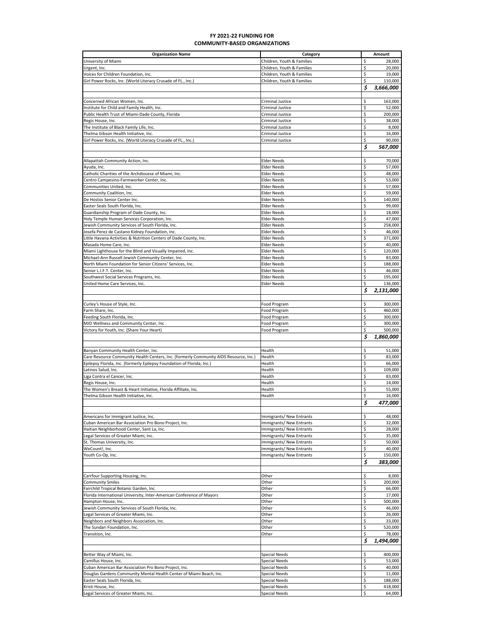### **FY 2021‐22 FUNDING FOR COMMUNITY‐BASED ORGANIZATIONS**

| <b>Organization Name</b>                                                              | Category                   |    | Amount    |
|---------------------------------------------------------------------------------------|----------------------------|----|-----------|
| University of Miami                                                                   | Children, Youth & Families | \$ | 28,000    |
| Urgent, Inc.                                                                          | Children, Youth & Families | \$ | 20,000    |
| Voices for Children Foundation, Inc.                                                  | Children, Youth & Families | \$ | 19,000    |
| Girl Power Rocks, Inc. (World Literacy Crusade of FL., Inc.)                          | Children, Youth & Families | \$ | 110,000   |
|                                                                                       |                            | \$ |           |
|                                                                                       |                            |    | 3,666,000 |
|                                                                                       |                            |    |           |
| Concerned African Women, Inc.                                                         | Criminal Justice           | \$ | 163,000   |
| Institute for Child and Family Health, Inc.                                           | <b>Criminal Justice</b>    | \$ | 52,000    |
| Public Health Trust of Miami-Dade County, Florida                                     | <b>Criminal Justice</b>    | \$ | 200,000   |
| Regis House, Inc.                                                                     | <b>Criminal Justice</b>    | \$ | 38,000    |
| The Institute of Black Family Life, Inc.                                              | <b>Criminal Justice</b>    | \$ | 8,000     |
| Thelma Gibson Health Initiative, Inc.                                                 | <b>Criminal Justice</b>    | \$ | 16,000    |
| Girl Power Rocks, Inc. (World Literacy Crusade of FL., Inc.)                          | <b>Criminal Justice</b>    | \$ | 90,000    |
|                                                                                       |                            |    |           |
|                                                                                       |                            | \$ | 567,000   |
|                                                                                       |                            |    |           |
| Allapattah Community Action, Inc.                                                     | <b>Elder Needs</b>         | \$ | 70,000    |
| Ayuda, Inc.                                                                           | <b>Elder Needs</b>         | \$ | 57,000    |
| Catholic Charities of the Archdiocese of Miami, Inc.                                  | <b>Elder Needs</b>         | \$ | 48,000    |
| Centro Campesino-Farmworker Center, Inc.                                              | <b>Elder Needs</b>         | \$ | 53,000    |
| Communities United, Inc.                                                              | <b>Elder Needs</b>         | \$ | 57,000    |
|                                                                                       |                            | \$ |           |
| Community Coalition, Inc.                                                             | <b>Elder Needs</b>         |    | 59,000    |
| De Hostos Senior Center Inc.                                                          | <b>Elder Needs</b>         | \$ | 140,000   |
| Easter Seals South Florida, Inc.                                                      | <b>Elder Needs</b>         | \$ | 99,000    |
| Guardianship Program of Dade County, Inc.                                             | <b>Elder Needs</b>         | \$ | 18,000    |
| Holy Temple Human Services Corporation, Inc.                                          | <b>Elder Needs</b>         | \$ | 47,000    |
| Jewish Community Services of South Florida, Inc.                                      | <b>Elder Needs</b>         | \$ | 258,000   |
| Josefa Perez de Castano Kidney Foundation, Inc.                                       | <b>Elder Needs</b>         | \$ | 46,000    |
| Little Havana Activities & Nutrition Centers of Dade County, Inc.                     | <b>Elder Needs</b>         | \$ | 371,000   |
|                                                                                       |                            |    |           |
| Masada Home Care, Inc.                                                                | <b>Elder Needs</b>         | \$ | 40,000    |
| Miami Lighthouse for the Blind and Visually Impaired, Inc.                            | <b>Elder Needs</b>         | \$ | 120,000   |
| Michael-Ann Russell Jewish Community Center, Inc.                                     | <b>Elder Needs</b>         | \$ | 83,000    |
| North Miami Foundation for Senior Citizens' Services, Inc.                            | <b>Elder Needs</b>         | \$ | 188,000   |
| Senior L.I.F.T. Center, Inc.                                                          | <b>Elder Needs</b>         | \$ | 46,000    |
| Southwest Social Services Programs, Inc.                                              | <b>Elder Needs</b>         | \$ | 195,000   |
| United Home Care Services, Inc.                                                       | <b>Elder Needs</b>         | \$ | 136,000   |
|                                                                                       |                            | \$ |           |
|                                                                                       |                            |    | 2,131,000 |
|                                                                                       |                            |    |           |
| Curley's House of Style, Inc.                                                         | Food Program               | \$ | 300,000   |
| Farm Share, Inc.                                                                      | Food Program               | \$ | 460,000   |
| Feeding South Florida, Inc.                                                           | Food Program               | \$ | 300,000   |
| MJD Wellness and Community Center, Inc                                                | Food Program               | \$ | 300,000   |
| Victory for Youth, Inc. (Share Your Heart)                                            | Food Program               | \$ | 500,000   |
|                                                                                       |                            |    |           |
|                                                                                       |                            | \$ | 1,860,000 |
|                                                                                       |                            |    |           |
| Banyan Community Health Center, Inc.                                                  | Health                     | \$ | 51,000    |
| Care Resource Community Health Centers, Inc. (formerly Community AIDS Resource, Inc.) | Health                     | \$ | 83.000    |
| Epilepsy Florida, Inc. (formerly Epilepsy Foundation of Florida, Inc.)                | Health                     | \$ | 66,000    |
| Latinos Salud, Inc.                                                                   | Health                     | \$ | 109,000   |
| Liga Contra el Cancer, Inc.                                                           | Health                     | \$ | 83,000    |
| Regis House, Inc.                                                                     | Health                     | \$ | 14,000    |
|                                                                                       |                            |    |           |
| The Women's Breast & Heart Initiative, Florida Affiliate, Inc.                        | Health                     | \$ | 55,000    |
| Thelma Gibson Health Initiative, Inc.                                                 | Health                     | \$ | 16,000    |
|                                                                                       |                            | \$ | 477,000   |
|                                                                                       |                            |    |           |
| Americans for Immigrant Justice, Inc.                                                 | Immigrants/ New Entrants   | \$ | 48,000    |
| Cuban American Bar Association Pro Bono Project, Inc.                                 | Immigrants/ New Entrants   | \$ | 32,000    |
| Haitian Neighborhood Center, Sant La, Inc.                                            | Immigrants/ New Entrants   | \$ | 28,000    |
| Legal Services of Greater Miami, Inc.                                                 |                            | \$ |           |
|                                                                                       | Immigrants/ New Entrants   |    | 35,000    |
| St. Thomas University, Inc.                                                           | Immigrants/ New Entrants   | \$ | 50,000    |
| WeCount!. Inc.                                                                        | Immigrants/ New Entrants   | \$ | 40,000    |
| Youth Co-Op, Inc.                                                                     | Immigrants/ New Entrants   | \$ | 150,000   |
|                                                                                       |                            | \$ | 383,000   |
|                                                                                       |                            |    |           |
|                                                                                       | Other                      | Ś  | 8,000     |
| Carrfour Supporting Housing, Inc.                                                     |                            |    |           |
| <b>Community Smiles</b>                                                               | Other                      | \$ | 200,000   |
| Fairchild Tropical Botanic Garden, Inc.                                               | Other                      | \$ | 66,000    |
| Florida International University, Inter-American Conference of Mayors                 | Other                      | \$ | 17,000    |
| Hampton House, Inc.                                                                   | Other                      | \$ | 500,000   |
| Jewish Community Services of South Florida, Inc.                                      | Other                      | \$ | 46,000    |
| Legal Services of Greater Miami, Inc.                                                 | Other                      | \$ | 26,000    |
| Neighbors and Neighbors Association, Inc.                                             | Other                      | \$ | 33,000    |
|                                                                                       |                            | \$ |           |
| The Sundari Foundation, Inc.                                                          | Other                      |    | 520,000   |
| Transition, Inc.                                                                      | Other                      | \$ | 78,000    |
|                                                                                       |                            | \$ | 1,494,000 |
|                                                                                       |                            |    |           |
| Better Way of Miami, Inc.                                                             | <b>Special Needs</b>       | \$ | 400,000   |
| Camillus House, Inc.                                                                  | <b>Special Needs</b>       | \$ | 53,000    |
|                                                                                       |                            | \$ | 40,000    |
| Cuban American Bar Association Pro Bono Project, Inc.                                 | <b>Special Needs</b>       |    |           |
| Douglas Gardens Community Mental Health Center of Miami Beach, Inc.                   | <b>Special Needs</b>       | \$ | 11,000    |
| Easter Seals South Florida, Inc.                                                      | <b>Special Needs</b>       | \$ | 188,000   |
| Kristi House, Inc.                                                                    | <b>Special Needs</b>       | \$ | 418,000   |
| Legal Services of Greater Miami, Inc.                                                 | <b>Special Needs</b>       | \$ | 64,000    |